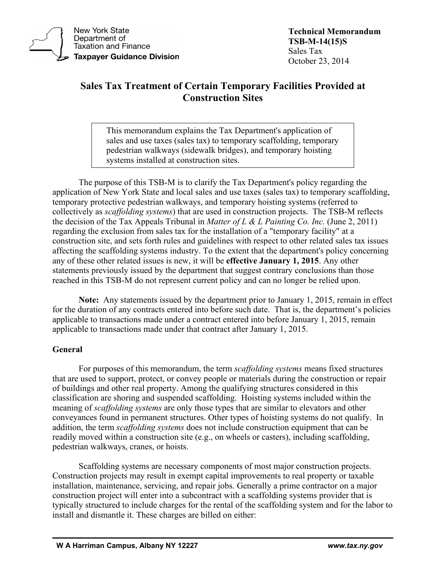

**New York State** Department of **Taxation and Finance Taxpayer Guidance Division**  **Technical Memorandum TSB-M-14(15)S** Sales Tax October 23, 2014

# **Sales Tax Treatment of Certain Temporary Facilities Provided at Construction Sites**

This memorandum explains the Tax Department's application of sales and use taxes (sales tax) to temporary scaffolding, temporary pedestrian walkways (sidewalk bridges), and temporary hoisting systems installed at construction sites.

The purpose of this TSB-M is to clarify the Tax Department's policy regarding the application of New York State and local sales and use taxes (sales tax) to temporary scaffolding, temporary protective pedestrian walkways, and temporary hoisting systems (referred to collectively as *scaffolding systems*) that are used in construction projects. The TSB-M reflects the decision of the Tax Appeals Tribunal in *Matter of L & L Painting Co. Inc.* (June 2, 2011) regarding the exclusion from sales tax for the installation of a "temporary facility" at a construction site, and sets forth rules and guidelines with respect to other related sales tax issues affecting the scaffolding systems industry. To the extent that the department's policy concerning any of these other related issues is new, it will be **effective January 1, 2015**. Any other statements previously issued by the department that suggest contrary conclusions than those reached in this TSB-M do not represent current policy and can no longer be relied upon.

**Note:** Any statements issued by the department prior to January 1, 2015, remain in effect for the duration of any contracts entered into before such date. That is, the department's policies applicable to transactions made under a contract entered into before January 1, 2015, remain applicable to transactions made under that contract after January 1, 2015.

## **General**

For purposes of this memorandum, the term *scaffolding systems* means fixed structures that are used to support, protect, or convey people or materials during the construction or repair of buildings and other real property. Among the qualifying structures considered in this classification are shoring and suspended scaffolding. Hoisting systems included within the meaning of *scaffolding systems* are only those types that are similar to elevators and other conveyances found in permanent structures. Other types of hoisting systems do not qualify. In addition, the term *scaffolding systems* does not include construction equipment that can be readily moved within a construction site (e.g., on wheels or casters), including scaffolding, pedestrian walkways, cranes, or hoists.

Scaffolding systems are necessary components of most major construction projects. Construction projects may result in exempt capital improvements to real property or taxable installation, maintenance, servicing, and repair jobs. Generally a prime contractor on a major construction project will enter into a subcontract with a scaffolding systems provider that is typically structured to include charges for the rental of the scaffolding system and for the labor to install and dismantle it. These charges are billed on either: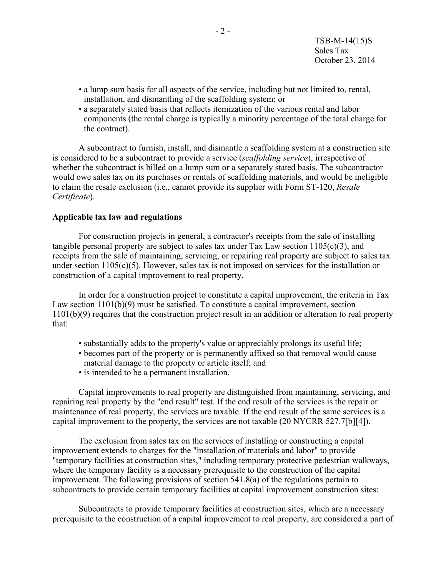- a lump sum basis for all aspects of the service, including but not limited to, rental, installation, and dismantling of the scaffolding system; or
- a separately stated basis that reflects itemization of the various rental and labor components (the rental charge is typically a minority percentage of the total charge for the contract).

A subcontract to furnish, install, and dismantle a scaffolding system at a construction site is considered to be a subcontract to provide a service (*scaffolding service*), irrespective of whether the subcontract is billed on a lump sum or a separately stated basis. The subcontractor would owe sales tax on its purchases or rentals of scaffolding materials, and would be ineligible to claim the resale exclusion (i.e., cannot provide its supplier with Form ST-120, *Resale Certificate*).

### **Applicable tax law and regulations**

For construction projects in general, a contractor's receipts from the sale of installing tangible personal property are subject to sales tax under Tax Law section  $1105(c)(3)$ , and receipts from the sale of maintaining, servicing, or repairing real property are subject to sales tax under section 1105(c)(5). However, sales tax is not imposed on services for the installation or construction of a capital improvement to real property.

In order for a construction project to constitute a capital improvement, the criteria in Tax Law section 1101(b)(9) must be satisfied. To constitute a capital improvement, section 1101(b)(9) requires that the construction project result in an addition or alteration to real property that:

- substantially adds to the property's value or appreciably prolongs its useful life;
- becomes part of the property or is permanently affixed so that removal would cause material damage to the property or article itself; and
- is intended to be a permanent installation.

Capital improvements to real property are distinguished from maintaining, servicing, and repairing real property by the "end result" test. If the end result of the services is the repair or maintenance of real property, the services are taxable. If the end result of the same services is a capital improvement to the property, the services are not taxable (20 NYCRR 527.7[b][4]).

The exclusion from sales tax on the services of installing or constructing a capital improvement extends to charges for the "installation of materials and labor" to provide "temporary facilities at construction sites," including temporary protective pedestrian walkways, where the temporary facility is a necessary prerequisite to the construction of the capital improvement. The following provisions of section 541.8(a) of the regulations pertain to subcontracts to provide certain temporary facilities at capital improvement construction sites:

Subcontracts to provide temporary facilities at construction sites, which are a necessary prerequisite to the construction of a capital improvement to real property, are considered a part of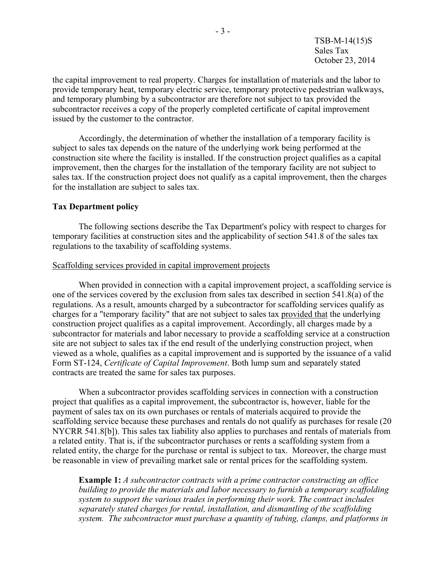TSB-M-14(15)S Sales Tax October 23, 2014

the capital improvement to real property. Charges for installation of materials and the labor to provide temporary heat, temporary electric service, temporary protective pedestrian walkways, and temporary plumbing by a subcontractor are therefore not subject to tax provided the subcontractor receives a copy of the properly completed certificate of capital improvement issued by the customer to the contractor.

Accordingly, the determination of whether the installation of a temporary facility is subject to sales tax depends on the nature of the underlying work being performed at the construction site where the facility is installed. If the construction project qualifies as a capital improvement, then the charges for the installation of the temporary facility are not subject to sales tax. If the construction project does not qualify as a capital improvement, then the charges for the installation are subject to sales tax.

### **Tax Department policy**

The following sections describe the Tax Department's policy with respect to charges for temporary facilities at construction sites and the applicability of section 541.8 of the sales tax regulations to the taxability of scaffolding systems.

### Scaffolding services provided in capital improvement projects

When provided in connection with a capital improvement project, a scaffolding service is one of the services covered by the exclusion from sales tax described in section 541.8(a) of the regulations. As a result, amounts charged by a subcontractor for scaffolding services qualify as charges for a "temporary facility" that are not subject to sales tax provided that the underlying construction project qualifies as a capital improvement. Accordingly, all charges made by a subcontractor for materials and labor necessary to provide a scaffolding service at a construction site are not subject to sales tax if the end result of the underlying construction project, when viewed as a whole, qualifies as a capital improvement and is supported by the issuance of a valid Form ST-124, *Certificate of Capital Improvement*. Both lump sum and separately stated contracts are treated the same for sales tax purposes.

When a subcontractor provides scaffolding services in connection with a construction project that qualifies as a capital improvement, the subcontractor is, however, liable for the payment of sales tax on its own purchases or rentals of materials acquired to provide the scaffolding service because these purchases and rentals do not qualify as purchases for resale (20 NYCRR 541.8[b]). This sales tax liability also applies to purchases and rentals of materials from a related entity. That is, if the subcontractor purchases or rents a scaffolding system from a related entity, the charge for the purchase or rental is subject to tax. Moreover, the charge must be reasonable in view of prevailing market sale or rental prices for the scaffolding system.

**Example 1:** *A subcontractor contracts with a prime contractor constructing an office building to provide the materials and labor necessary to furnish a temporary scaffolding system to support the various trades in performing their work. The contract includes separately stated charges for rental, installation, and dismantling of the scaffolding system. The subcontractor must purchase a quantity of tubing, clamps, and platforms in*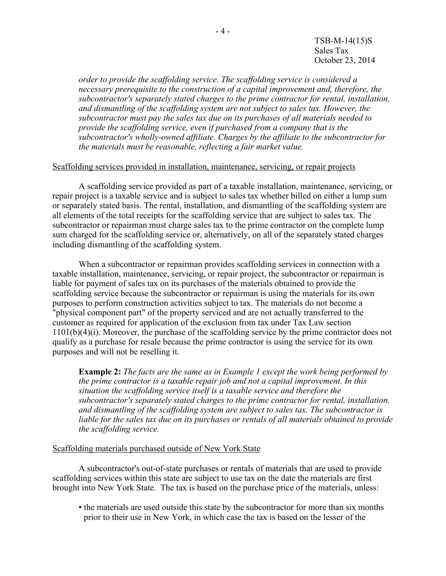TSB-M-14(15)S Sales Tax October 23, 2014

*order to provide the scaffolding service. The scaffolding service is considered a necessary prerequisite to the construction of a capital improvement and, therefore, the subcontractor's separately stated charges to the prime contractor for rental, installation, and dismantling of the scaffolding system are not subject to sales tax. However, the subcontractor must pay the sales tax due on its purchases of all materials needed to provide the scaffolding service, even if purchased from a company that is the subcontractor's wholly-owned affiliate. Charges by the affiliate to the subcontractor for the materials must be reasonable, reflecting a fair market value.*

### Scaffolding services provided in installation, maintenance, servicing, or repair projects

A scaffolding service provided as part of a taxable installation, maintenance, servicing, or repair project is a taxable service and is subject to sales tax whether billed on either a lump sum or separately stated basis. The rental, installation, and dismantling of the scaffolding system are all elements of the total receipts for the scaffolding service that are subject to sales tax. The subcontractor or repairman must charge sales tax to the prime contractor on the complete lump sum charged for the scaffolding service or, alternatively, on all of the separately stated charges including dismantling of the scaffolding system.

When a subcontractor or repairman provides scaffolding services in connection with a taxable installation, maintenance, servicing, or repair project, the subcontractor or repairman is liable for payment of sales tax on its purchases of the materials obtained to provide the scaffolding service because the subcontractor or repairman is using the materials for its own purposes to perform construction activities subject to tax. The materials do not become a "physical component part" of the property serviced and are not actually transferred to the customer as required for application of the exclusion from tax under Tax Law section 1101(b)(4)(i). Moreover, the purchase of the scaffolding service by the prime contractor does not qualify as a purchase for resale because the prime contractor is using the service for its own purposes and will not be reselling it.

**Example 2:** *The facts are the same as in Example 1 except the work being performed by the prime contractor is a taxable repair job and not a capital improvement. In this situation the scaffolding service itself is a taxable service and therefore the subcontractor's separately stated charges to the prime contractor for rental, installation, and dismantling of the scaffolding system are subject to sales tax. The subcontractor is liable for the sales tax due on its purchases or rentals of all materials obtained to provide the scaffolding service.*

#### Scaffolding materials purchased outside of New York State

A subcontractor's out-of-state purchases or rentals of materials that are used to provide scaffolding services within this state are subject to use tax on the date the materials are first brought into New York State. The tax is based on the purchase price of the materials, unless:

• the materials are used outside this state by the subcontractor for more than six months prior to their use in New York, in which case the tax is based on the lesser of the